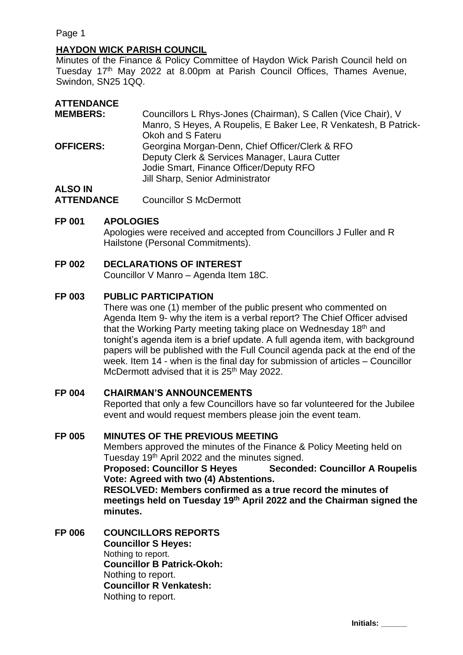Page 1

# **HAYDON WICK PARISH COUNCIL**

Minutes of the Finance & Policy Committee of Haydon Wick Parish Council held on Tuesday 17<sup>th</sup> May 2022 at 8.00pm at Parish Council Offices, Thames Avenue, Swindon, SN25 1QQ.

| <b>ATTENDANCE</b> |                                                                  |
|-------------------|------------------------------------------------------------------|
| <b>MEMBERS:</b>   | Councillors L Rhys-Jones (Chairman), S Callen (Vice Chair), V    |
|                   | Manro, S Heyes, A Roupelis, E Baker Lee, R Venkatesh, B Patrick- |
|                   | Okoh and S Fateru                                                |
| <b>OFFICERS:</b>  | Georgina Morgan-Denn, Chief Officer/Clerk & RFO                  |
|                   | Deputy Clerk & Services Manager, Laura Cutter                    |
|                   | Jodie Smart, Finance Officer/Deputy RFO                          |
|                   | Jill Sharp, Senior Administrator                                 |
| <b>ALSO IN</b>    |                                                                  |
|                   |                                                                  |

**ATTENDANCE** Councillor S McDermott

#### **FP 001 APOLOGIES**

Apologies were received and accepted from Councillors J Fuller and R Hailstone (Personal Commitments).

## **FP 002 DECLARATIONS OF INTEREST**

Councillor V Manro – Agenda Item 18C.

#### **FP 003 PUBLIC PARTICIPATION**

There was one (1) member of the public present who commented on Agenda Item 9- why the item is a verbal report? The Chief Officer advised that the Working Party meeting taking place on Wednesday 18<sup>th</sup> and tonight's agenda item is a brief update. A full agenda item, with background papers will be published with the Full Council agenda pack at the end of the week. Item 14 - when is the final day for submission of articles – Councillor McDermott advised that it is 25<sup>th</sup> May 2022.

## **FP 004 CHAIRMAN'S ANNOUNCEMENTS**

Reported that only a few Councillors have so far volunteered for the Jubilee event and would request members please join the event team.

#### **FP 005 MINUTES OF THE PREVIOUS MEETING**

Members approved the minutes of the Finance & Policy Meeting held on Tuesday 19<sup>th</sup> April 2022 and the minutes signed.

**Proposed: Councillor S Heyes Seconded: Councillor A Roupelis Vote: Agreed with two (4) Abstentions.** 

**RESOLVED: Members confirmed as a true record the minutes of meetings held on Tuesday 19 th April 2022 and the Chairman signed the minutes.**

**FP 006 COUNCILLORS REPORTS Councillor S Heyes:** Nothing to report. **Councillor B Patrick-Okoh:** Nothing to report. **Councillor R Venkatesh:** Nothing to report.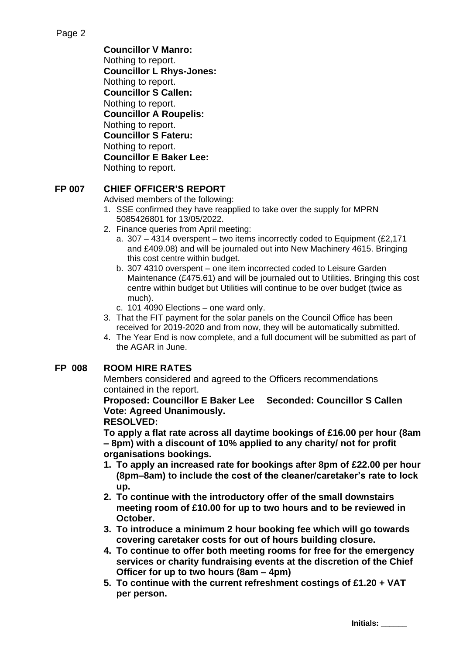**Councillor V Manro:** Nothing to report. **Councillor L Rhys-Jones:** Nothing to report. **Councillor S Callen:** Nothing to report. **Councillor A Roupelis:** Nothing to report. **Councillor S Fateru:** Nothing to report. **Councillor E Baker Lee:**  Nothing to report.

# **FP 007 CHIEF OFFICER'S REPORT**

Advised members of the following:

- 1. SSE confirmed they have reapplied to take over the supply for MPRN 5085426801 for 13/05/2022.
- 2. Finance queries from April meeting:
	- a. 307 4314 overspent two items incorrectly coded to Equipment (£2,171 and £409.08) and will be journaled out into New Machinery 4615. Bringing this cost centre within budget.
	- b. 307 4310 overspent one item incorrected coded to Leisure Garden Maintenance (£475.61) and will be journaled out to Utilities. Bringing this cost centre within budget but Utilities will continue to be over budget (twice as much).
	- c. 101 4090 Elections one ward only.
- 3. That the FIT payment for the solar panels on the Council Office has been received for 2019-2020 and from now, they will be automatically submitted.
- 4. The Year End is now complete, and a full document will be submitted as part of the AGAR in June.

## **FP 008 ROOM HIRE RATES**

Members considered and agreed to the Officers recommendations contained in the report.

**Proposed: Councillor E Baker Lee Seconded: Councillor S Callen Vote: Agreed Unanimously.**

## **RESOLVED:**

**To apply a flat rate across all daytime bookings of £16.00 per hour (8am – 8pm) with a discount of 10% applied to any charity/ not for profit organisations bookings.** 

- **1. To apply an increased rate for bookings after 8pm of £22.00 per hour (8pm–8am) to include the cost of the cleaner/caretaker's rate to lock up.**
- **2. To continue with the introductory offer of the small downstairs meeting room of £10.00 for up to two hours and to be reviewed in October.**
- **3. To introduce a minimum 2 hour booking fee which will go towards covering caretaker costs for out of hours building closure.**
- **4. To continue to offer both meeting rooms for free for the emergency services or charity fundraising events at the discretion of the Chief Officer for up to two hours (8am – 4pm)**
- **5. To continue with the current refreshment costings of £1.20 + VAT per person.**

**Initials: \_\_\_\_\_\_**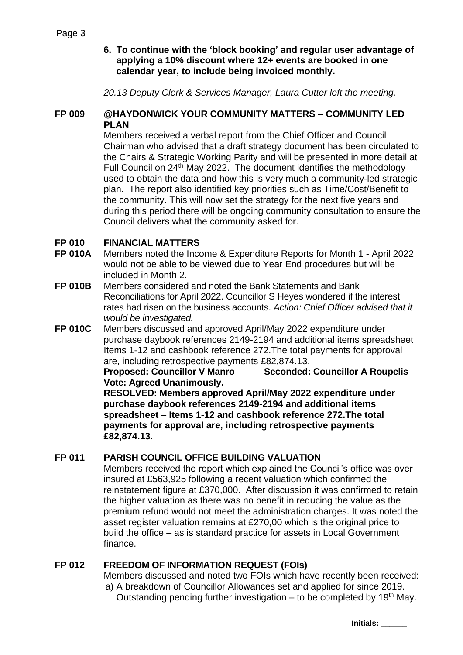# **6. To continue with the 'block booking' and regular user advantage of applying a 10% discount where 12+ events are booked in one calendar year, to include being invoiced monthly.**

*20.13 Deputy Clerk & Services Manager, Laura Cutter left the meeting.*

## **FP 009 @HAYDONWICK YOUR COMMUNITY MATTERS – COMMUNITY LED PLAN**

Members received a verbal report from the Chief Officer and Council Chairman who advised that a draft strategy document has been circulated to the Chairs & Strategic Working Parity and will be presented in more detail at Full Council on 24th May 2022. The document identifies the methodology used to obtain the data and how this is very much a community-led strategic plan. The report also identified key priorities such as Time/Cost/Benefit to the community. This will now set the strategy for the next five years and during this period there will be ongoing community consultation to ensure the Council delivers what the community asked for.

# **FP 010 FINANCIAL MATTERS**

- **FP 010A** Members noted the Income & Expenditure Reports for Month 1 April 2022 would not be able to be viewed due to Year End procedures but will be included in Month 2.
- **FP 010B** Members considered and noted the Bank Statements and Bank Reconciliations for April 2022. Councillor S Heyes wondered if the interest rates had risen on the business accounts. *Action: Chief Officer advised that it would be investigated.*
- **FP 010C** Members discussed and approved April/May 2022 expenditure under purchase daybook references 2149-2194 and additional items spreadsheet Items 1-12 and cashbook reference 272.The total payments for approval are, including retrospective payments £82,874.13.

**Proposed: Councillor V Manro Seconded: Councillor A Roupelis Vote: Agreed Unanimously.**

**RESOLVED: Members approved April/May 2022 expenditure under purchase daybook references 2149-2194 and additional items spreadsheet – Items 1-12 and cashbook reference 272.The total payments for approval are, including retrospective payments £82,874.13.**

# **FP 011 PARISH COUNCIL OFFICE BUILDING VALUATION**

Members received the report which explained the Council's office was over insured at £563,925 following a recent valuation which confirmed the reinstatement figure at £370,000. After discussion it was confirmed to retain the higher valuation as there was no benefit in reducing the value as the premium refund would not meet the administration charges. It was noted the asset register valuation remains at £270,00 which is the original price to build the office – as is standard practice for assets in Local Government finance.

## **FP 012 FREEDOM OF INFORMATION REQUEST (FOIs)**

Members discussed and noted two FOIs which have recently been received: a) A breakdown of Councillor Allowances set and applied for since 2019.

Outstanding pending further investigation – to be completed by 19<sup>th</sup> May.

**Initials: \_\_\_\_\_\_**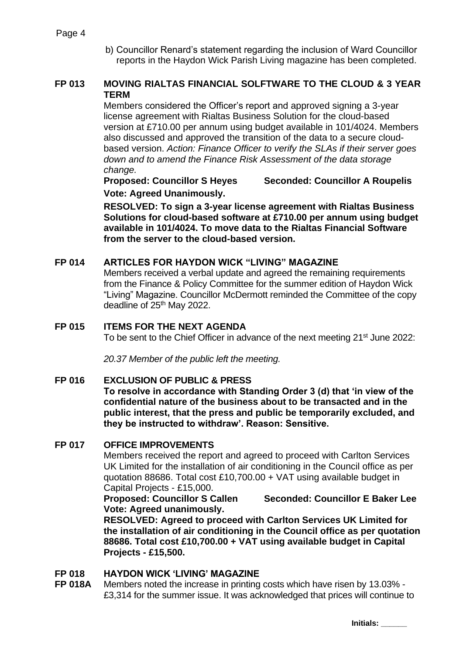b) Councillor Renard's statement regarding the inclusion of Ward Councillor reports in the Haydon Wick Parish Living magazine has been completed.

# **FP 013 MOVING RIALTAS FINANCIAL SOLFTWARE TO THE CLOUD & 3 YEAR TERM**

Members considered the Officer's report and approved signing a 3-year license agreement with Rialtas Business Solution for the cloud-based version at £710.00 per annum using budget available in 101/4024. Members also discussed and approved the transition of the data to a secure cloudbased version. *Action: Finance Officer to verify the SLAs if their server goes down and to amend the Finance Risk Assessment of the data storage change.*

**Proposed: Councillor S Heyes Seconded: Councillor A Roupelis**

**Vote: Agreed Unanimously.**

**RESOLVED: To sign a 3-year license agreement with Rialtas Business Solutions for cloud-based software at £710.00 per annum using budget available in 101/4024. To move data to the Rialtas Financial Software from the server to the cloud-based version.**

# **FP 014 ARTICLES FOR HAYDON WICK "LIVING" MAGAZINE**

Members received a verbal update and agreed the remaining requirements from the Finance & Policy Committee for the summer edition of Haydon Wick "Living" Magazine. Councillor McDermott reminded the Committee of the copy deadline of 25<sup>th</sup> May 2022.

# **FP 015 ITEMS FOR THE NEXT AGENDA**

To be sent to the Chief Officer in advance of the next meeting 21<sup>st</sup> June 2022:

*20.37 Member of the public left the meeting.*

## **FP 016 EXCLUSION OF PUBLIC & PRESS**

**To resolve in accordance with Standing Order 3 (d) that 'in view of the confidential nature of the business about to be transacted and in the public interest, that the press and public be temporarily excluded, and they be instructed to withdraw'. Reason: Sensitive.**

## **FP 017 OFFICE IMPROVEMENTS**

Members received the report and agreed to proceed with Carlton Services UK Limited for the installation of air conditioning in the Council office as per quotation 88686. Total cost £10,700.00 + VAT using available budget in Capital Projects - £15,000.

**Proposed: Councillor S Callen Seconded: Councillor E Baker Lee Vote: Agreed unanimously.**

**RESOLVED: Agreed to proceed with Carlton Services UK Limited for the installation of air conditioning in the Council office as per quotation 88686. Total cost £10,700.00 + VAT using available budget in Capital Projects - £15,500.**

## **FP 018 HAYDON WICK 'LIVING' MAGAZINE**

**FP 018A** Members noted the increase in printing costs which have risen by 13.03% - £3,314 for the summer issue. It was acknowledged that prices will continue to

**Initials: \_\_\_\_\_\_**